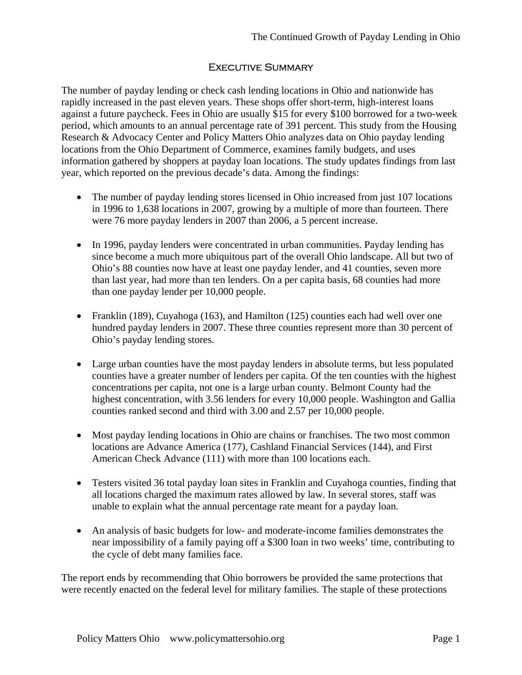## Executive Summary

The number of payday lending or check cash lending locations in Ohio and nationwide has rapidly increased in the past eleven years. These shops offer short-term, high-interest loans against a future paycheck. Fees in Ohio are usually \$15 for every \$100 borrowed for a two-week period, which amounts to an annual percentage rate of 391 percent. This study from the Housing Research & Advocacy Center and Policy Matters Ohio analyzes data on Ohio payday lending locations from the Ohio Department of Commerce, examines family budgets, and uses information gathered by shoppers at payday loan locations. The study updates findings from last year, which reported on the previous decade's data. Among the findings:

- The number of payday lending stores licensed in Ohio increased from just 107 locations in 1996 to 1,638 locations in 2007, growing by a multiple of more than fourteen. There were 76 more payday lenders in 2007 than 2006, a 5 percent increase.
- In 1996, payday lenders were concentrated in urban communities. Payday lending has since become a much more ubiquitous part of the overall Ohio landscape. All but two of Ohio's 88 counties now have at least one payday lender, and 41 counties, seven more than last year, had more than ten lenders. On a per capita basis, 68 counties had more than one payday lender per 10,000 people.
- Franklin (189), Cuyahoga (163), and Hamilton (125) counties each had well over one hundred payday lenders in 2007. These three counties represent more than 30 percent of Ohio's payday lending stores.
- Large urban counties have the most payday lenders in absolute terms, but less populated counties have a greater number of lenders per capita. Of the ten counties with the highest concentrations per capita, not one is a large urban county. Belmont County had the highest concentration, with 3.56 lenders for every 10,000 people. Washington and Gallia counties ranked second and third with 3.00 and 2.57 per 10,000 people.
- Most payday lending locations in Ohio are chains or franchises. The two most common locations are Advance America (177), Cashland Financial Services (144), and First American Check Advance (111) with more than 100 locations each.
- Testers visited 36 total payday loan sites in Franklin and Cuyahoga counties, finding that all locations charged the maximum rates allowed by law. In several stores, staff was unable to explain what the annual percentage rate meant for a payday loan.
- An analysis of basic budgets for low- and moderate-income families demonstrates the near impossibility of a family paying off a \$300 loan in two weeks' time, contributing to the cycle of debt many families face.

The report ends by recommending that Ohio borrowers be provided the same protections that were recently enacted on the federal level for military families. The staple of these protections